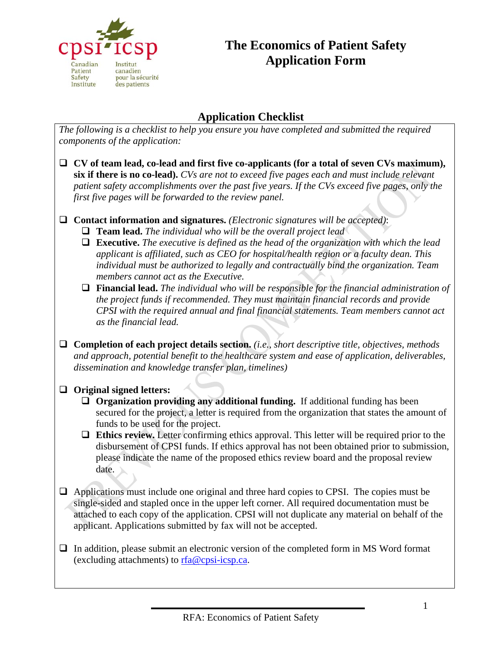

## **The Economics of Patient Safety Application Form**

### **Application Checklist**

*The following is a checklist to help you ensure you have completed and submitted the required components of the application:* 

- **CV of team lead, co-lead and first five co-applicants (for a total of seven CVs maximum), six if there is no co-lead).** *CVs are not to exceed five pages each and must include relevant patient safety accomplishments over the past five years. If the CVs exceed five pages, only the first five pages will be forwarded to the review panel.*
- **Contact information and signatures.** *(Electronic signatures will be accepted)*:
	- **Team lead.** *The individual who will be the overall project lead*
	- **Executive.** *The executive is defined as the head of the organization with which the lead applicant is affiliated, such as CEO for hospital/health region or a faculty dean. This individual must be authorized to legally and contractually bind the organization. Team members cannot act as the Executive.*
	- **Financial lead.** *The individual who will be responsible for the financial administration of the project funds if recommended. They must maintain financial records and provide CPSI with the required annual and final financial statements. Team members cannot act as the financial lead.*
- **Completion of each project details section.** *(i.e., short descriptive title, objectives, methods and approach, potential benefit to the healthcare system and ease of application, deliverables, dissemination and knowledge transfer plan, timelines)*

#### **Original signed letters:**

- **Organization providing any additional funding.** If additional funding has been secured for the project, a letter is required from the organization that states the amount of funds to be used for the project.
- **Ethics review.** Letter confirming ethics approval. This letter will be required prior to the disbursement of CPSI funds. If ethics approval has not been obtained prior to submission, please indicate the name of the proposed ethics review board and the proposal review date.
- $\Box$  Applications must include one original and three hard copies to CPSI. The copies must be single-sided and stapled once in the upper left corner. All required documentation must be attached to each copy of the application. CPSI will not duplicate any material on behalf of the applicant. Applications submitted by fax will not be accepted.
- $\Box$  In addition, please submit an electronic version of the completed form in MS Word format (excluding attachments) to rfa@cpsi-icsp.ca.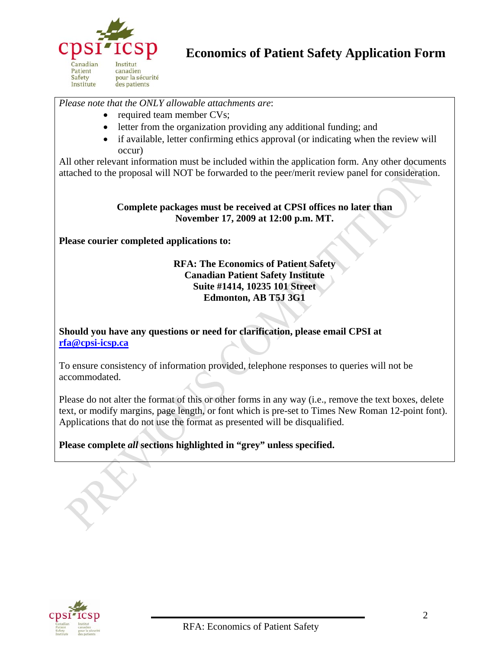

*Please note that the ONLY allowable attachments are*:

- required team member CVs:
- letter from the organization providing any additional funding; and
- if available, letter confirming ethics approval (or indicating when the review will occur)

All other relevant information must be included within the application form. Any other documents attached to the proposal will NOT be forwarded to the peer/merit review panel for consideration.

> **Complete packages must be received at CPSI offices no later than November 17, 2009 at 12:00 p.m. MT.**

**Please courier completed applications to:** 

**RFA: The Economics of Patient Safety Canadian Patient Safety Institute Suite #1414, 10235 101 Street Edmonton, AB T5J 3G1** 

**Should you have any questions or need for clarification, please email CPSI at rfa@cpsi-icsp.ca** 

To ensure consistency of information provided, telephone responses to queries will not be accommodated.

Please do not alter the format of this or other forms in any way (i.e., remove the text boxes, delete text, or modify margins, page length, or font which is pre-set to Times New Roman 12-point font). Applications that do not use the format as presented will be disqualified.

**Please complete** *all* **sections highlighted in "grey" unless specified.** 

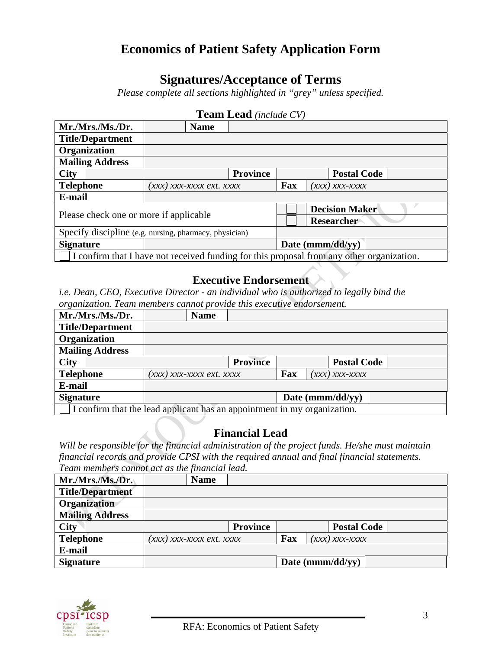## **Economics of Patient Safety Application Form**

## **Signatures/Acceptance of Terms**

*Please complete all sections highlighted in "grey" unless specified.* 

|                                        |                                                                                           | $\cdots$        |     |                       |  |
|----------------------------------------|-------------------------------------------------------------------------------------------|-----------------|-----|-----------------------|--|
| Mr./Mrs./Ms./Dr.                       | <b>Name</b>                                                                               |                 |     |                       |  |
| <b>Title/Department</b>                |                                                                                           |                 |     |                       |  |
| <b>Organization</b>                    |                                                                                           |                 |     |                       |  |
| <b>Mailing Address</b>                 |                                                                                           |                 |     |                       |  |
| <b>City</b>                            |                                                                                           | <b>Province</b> |     | <b>Postal Code</b>    |  |
| <b>Telephone</b>                       | (xxx) xxx-xxxx ext. xxxx                                                                  |                 | Fax | (xxx) xxx-xxxx        |  |
| E-mail                                 |                                                                                           |                 |     |                       |  |
|                                        |                                                                                           |                 |     | <b>Decision Maker</b> |  |
| Please check one or more if applicable |                                                                                           |                 |     | <b>Researcher</b>     |  |
|                                        | Specify discipline (e.g. nursing, pharmacy, physician)                                    |                 |     |                       |  |
| <b>Signature</b>                       |                                                                                           |                 |     | Date (mmm/dd/yy)      |  |
|                                        | I confirm that I have not received funding for this proposal from any other organization. |                 |     |                       |  |

### **Team Lead** *(include CV)*

#### **Executive Endorsement**

*i.e. Dean, CEO, Executive Director - an individual who is authorized to legally bind the organization. Team members cannot provide this executive endorsement.*

| Mr./Mrs./Ms./Dr.                                                         | <b>Name</b>              |                 |     |                    |
|--------------------------------------------------------------------------|--------------------------|-----------------|-----|--------------------|
| <b>Title/Department</b>                                                  |                          |                 |     |                    |
| Organization                                                             |                          |                 |     |                    |
| <b>Mailing Address</b>                                                   |                          |                 |     |                    |
| <b>City</b>                                                              |                          | <b>Province</b> |     | <b>Postal Code</b> |
| <b>Telephone</b>                                                         | (xxx) xxx-xxxx ext. xxxx |                 | Fax | $(xx)$ xxx-xxxx    |
| E-mail                                                                   |                          |                 |     |                    |
| <b>Signature</b>                                                         |                          |                 |     | Date (mmm/dd/yy)   |
| I confirm that the lead applicant has an appointment in my organization. |                          |                 |     |                    |

#### **Financial Lead**

*Will be responsible for the financial administration of the project funds. He/she must maintain financial records and provide CPSI with the required annual and final financial statements. Team members cannot act as the financial lead.*

|                         | I can not not be a cannot act as me phancial lead. |                 |     |                     |
|-------------------------|----------------------------------------------------|-----------------|-----|---------------------|
| Mr./Mrs./Ms./Dr.        | <b>Name</b>                                        |                 |     |                     |
| <b>Title/Department</b> |                                                    |                 |     |                     |
| <b>Organization</b>     |                                                    |                 |     |                     |
| <b>Mailing Address</b>  |                                                    |                 |     |                     |
| City                    |                                                    | <b>Province</b> |     | <b>Postal Code</b>  |
| <b>Telephone</b>        | (xxx) xxx-xxxx ext. xxxx                           |                 | Fax | $(xx)$ xxx-xxxx     |
| E-mail                  |                                                    |                 |     |                     |
| <b>Signature</b>        |                                                    |                 |     | Date ( $mm/dd/vy$ ) |

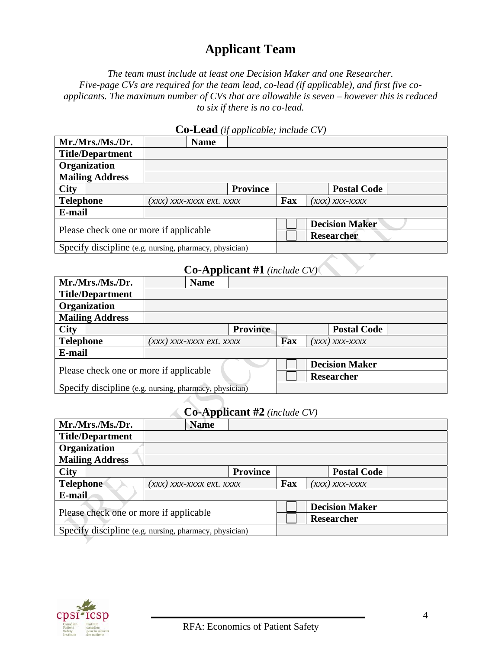## **Applicant Team**

*The team must include at least one Decision Maker and one Researcher. Five-page CVs are required for the team lead, co-lead (if applicable), and first five coapplicants. The maximum number of CVs that are allowable is seven – however this is reduced to six if there is no co-lead.* 

| Mr./Mrs./Ms./Dr.                                       | <b>Name</b>              |                 |                                            |                    |
|--------------------------------------------------------|--------------------------|-----------------|--------------------------------------------|--------------------|
| <b>Title/Department</b>                                |                          |                 |                                            |                    |
| Organization                                           |                          |                 |                                            |                    |
| <b>Mailing Address</b>                                 |                          |                 |                                            |                    |
| <b>City</b>                                            |                          | <b>Province</b> |                                            | <b>Postal Code</b> |
| <b>Telephone</b>                                       | (xxx) xxx-xxxx ext. xxxx |                 | Fax                                        | $(xxx)$ xxx-xxxx   |
| E-mail                                                 |                          |                 |                                            |                    |
| Please check one or more if applicable                 |                          |                 | <b>Decision Maker</b><br><b>Researcher</b> |                    |
|                                                        |                          |                 |                                            |                    |
| Specify discipline (e.g. nursing, pharmacy, physician) |                          |                 |                                            |                    |

**Co-Lead** *(if applicable; include CV)*

### **Co-Applicant #1** *(include CV)*

| Mr./Mrs./Ms./Dr.                       | <b>Name</b>                                            |                 |                   |                       |
|----------------------------------------|--------------------------------------------------------|-----------------|-------------------|-----------------------|
| <b>Title/Department</b>                |                                                        |                 |                   |                       |
| Organization                           |                                                        |                 |                   |                       |
| <b>Mailing Address</b>                 |                                                        |                 |                   |                       |
| City                                   |                                                        | <b>Province</b> |                   | <b>Postal Code</b>    |
| <b>Telephone</b>                       | (xxx) xxx-xxxx ext. xxxx                               |                 | Fax               | (xxx) xxx-xxxx        |
| E-mail                                 |                                                        |                 |                   |                       |
| Please check one or more if applicable |                                                        |                 |                   | <b>Decision Maker</b> |
|                                        |                                                        |                 | <b>Researcher</b> |                       |
|                                        | Specify discipline (e.g. nursing, pharmacy, physician) |                 |                   |                       |

### **Co-Applicant #2** *(include CV)*

| Mr./Mrs./Ms./Dr.                                       | <b>Name</b>              |                 |     |                       |
|--------------------------------------------------------|--------------------------|-----------------|-----|-----------------------|
| <b>Title/Department</b>                                |                          |                 |     |                       |
| Organization                                           |                          |                 |     |                       |
| <b>Mailing Address</b>                                 |                          |                 |     |                       |
| <b>City</b>                                            |                          | <b>Province</b> |     | <b>Postal Code</b>    |
| <b>Telephone</b>                                       | (xxx) xxx-xxxx ext. xxxx |                 | Fax | (xxx) xxx-xxxx        |
| E-mail                                                 |                          |                 |     |                       |
| Please check one or more if applicable                 |                          |                 |     | <b>Decision Maker</b> |
|                                                        |                          |                 |     | <b>Researcher</b>     |
| Specify discipline (e.g. nursing, pharmacy, physician) |                          |                 |     |                       |
|                                                        |                          |                 |     |                       |

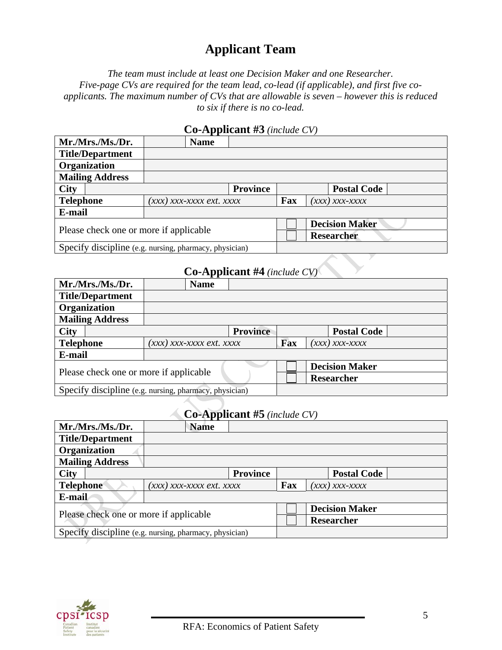## **Applicant Team**

*The team must include at least one Decision Maker and one Researcher. Five-page CVs are required for the team lead, co-lead (if applicable), and first five coapplicants. The maximum number of CVs that are allowable is seven – however this is reduced to six if there is no co-lead.* 

| <b>Co-Applicant #3</b> (include CV) |  |  |
|-------------------------------------|--|--|
|                                     |  |  |

| Mr./Mrs./Ms./Dr.                                       | <b>Name</b>              |                 |     |                                            |
|--------------------------------------------------------|--------------------------|-----------------|-----|--------------------------------------------|
| <b>Title/Department</b>                                |                          |                 |     |                                            |
| Organization                                           |                          |                 |     |                                            |
| <b>Mailing Address</b>                                 |                          |                 |     |                                            |
| <b>City</b>                                            |                          | <b>Province</b> |     | <b>Postal Code</b>                         |
| <b>Telephone</b>                                       | (xxx) xxx-xxxx ext. xxxx |                 | Fax | (xxx) xxx-xxxx                             |
| E-mail                                                 |                          |                 |     |                                            |
| Please check one or more if applicable                 |                          |                 |     | <b>Decision Maker</b><br><b>Researcher</b> |
| Specify discipline (e.g. nursing, pharmacy, physician) |                          |                 |     |                                            |

### **Co-Applicant #4** *(include CV)*

| Mr./Mrs./Ms./Dr.                       | <b>Name</b>                                            |                 |                       |                    |
|----------------------------------------|--------------------------------------------------------|-----------------|-----------------------|--------------------|
| <b>Title/Department</b>                |                                                        |                 |                       |                    |
| Organization                           |                                                        |                 |                       |                    |
| <b>Mailing Address</b>                 |                                                        |                 |                       |                    |
| <b>City</b>                            |                                                        | <b>Province</b> |                       | <b>Postal Code</b> |
| <b>Telephone</b>                       | (xxx) xxx-xxxx ext. xxxx                               |                 | Fax                   | (xxx) xxx-xxxx     |
| E-mail                                 |                                                        |                 |                       |                    |
|                                        |                                                        |                 | <b>Decision Maker</b> |                    |
| Please check one or more if applicable |                                                        |                 |                       | <b>Researcher</b>  |
|                                        | Specify discipline (e.g. nursing, pharmacy, physician) |                 |                       |                    |

### **Co-Applicant #5** *(include CV)*

| Mr./Mrs./Ms./Dr.                                       | <b>Name</b>              |                 |                       |                    |
|--------------------------------------------------------|--------------------------|-----------------|-----------------------|--------------------|
| <b>Title/Department</b>                                |                          |                 |                       |                    |
| Organization                                           |                          |                 |                       |                    |
| <b>Mailing Address</b>                                 |                          |                 |                       |                    |
| <b>City</b>                                            |                          | <b>Province</b> |                       | <b>Postal Code</b> |
| <b>Telephone</b>                                       | (xxx) xxx-xxxx ext. xxxx |                 | Fax                   | $(xxx)$ xxx-xxxx   |
| E-mail                                                 |                          |                 |                       |                    |
| Please check one or more if applicable                 |                          |                 | <b>Decision Maker</b> |                    |
|                                                        |                          |                 |                       | <b>Researcher</b>  |
| Specify discipline (e.g. nursing, pharmacy, physician) |                          |                 |                       |                    |

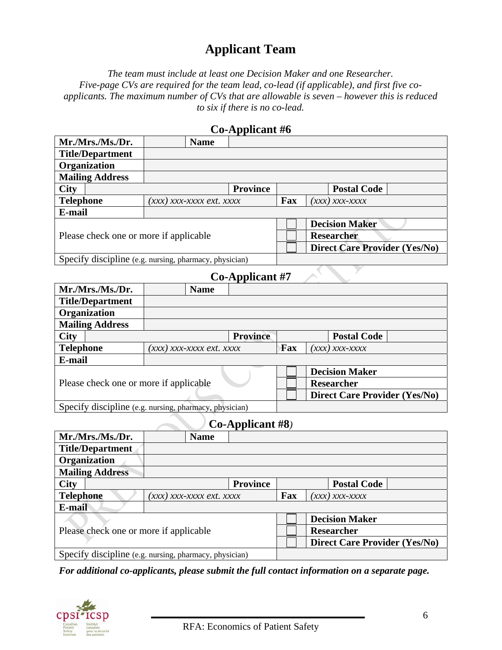## **Applicant Team**

*The team must include at least one Decision Maker and one Researcher. Five-page CVs are required for the team lead, co-lead (if applicable), and first five coapplicants. The maximum number of CVs that are allowable is seven – however this is reduced to six if there is no co-lead.* 

| Mr./Mrs./Ms./Dr.                                       | <b>Name</b>               |                 |     |                                      |
|--------------------------------------------------------|---------------------------|-----------------|-----|--------------------------------------|
| <b>Title/Department</b>                                |                           |                 |     |                                      |
| Organization                                           |                           |                 |     |                                      |
| <b>Mailing Address</b>                                 |                           |                 |     |                                      |
| <b>City</b>                                            |                           | <b>Province</b> |     | <b>Postal Code</b>                   |
| <b>Telephone</b>                                       | (xxx) xxx-xxxxx ext. xxxx |                 | Fax | (xxx) xxx-xxxx                       |
| E-mail                                                 |                           |                 |     |                                      |
|                                                        |                           |                 |     | <b>Decision Maker</b>                |
| Please check one or more if applicable                 |                           |                 |     | <b>Researcher</b>                    |
|                                                        |                           |                 |     | <b>Direct Care Provider (Yes/No)</b> |
| Specify discipline (e.g. nursing, pharmacy, physician) |                           |                 |     |                                      |
|                                                        |                           |                 |     |                                      |
| Mr./Mrs./Ms./Dr.                                       |                           | Co-Applicant #7 |     |                                      |
|                                                        | <b>Name</b>               |                 |     |                                      |
| <b>Title/Department</b>                                |                           |                 |     |                                      |
| Organization                                           |                           |                 |     |                                      |
| <b>Mailing Address</b>                                 |                           |                 |     |                                      |
| <b>City</b>                                            |                           | <b>Province</b> |     | <b>Postal Code</b>                   |
| <b>Telephone</b>                                       | (xxx) xxx-xxxx ext. xxxx  |                 | Fax | (xxx) xxx-xxxx                       |
| E-mail                                                 |                           |                 |     |                                      |
|                                                        |                           |                 |     | <b>Decision Maker</b>                |
| Please check one or more if applicable                 |                           |                 |     | <b>Researcher</b>                    |
|                                                        |                           |                 |     | <b>Direct Care Provider (Yes/No)</b> |
| Specify discipline (e.g. nursing, pharmacy, physician) |                           |                 |     |                                      |
| $Co$ -Applicant #8)                                    |                           |                 |     |                                      |
| Mr./Mrs./Ms./Dr.                                       | <b>Name</b>               |                 |     |                                      |
| <b>Title/Department</b>                                |                           |                 |     |                                      |
| <b>Organization</b>                                    |                           |                 |     |                                      |

**Co-Applicant #6**

| $Co$ -Applicant #8)                                    |                           |                 |     |                                      |  |  |
|--------------------------------------------------------|---------------------------|-----------------|-----|--------------------------------------|--|--|
| Mr./Mrs./Ms./Dr.                                       | <b>Name</b>               |                 |     |                                      |  |  |
| <b>Title/Department</b>                                |                           |                 |     |                                      |  |  |
| Organization                                           |                           |                 |     |                                      |  |  |
| <b>Mailing Address</b>                                 |                           |                 |     |                                      |  |  |
| <b>City</b>                                            |                           | <b>Province</b> |     | <b>Postal Code</b>                   |  |  |
| <b>Telephone</b>                                       | (xxx) xxx-xxxxx ext. xxxx |                 | Fax | (xxx) xxx-xxxx                       |  |  |
| E-mail                                                 |                           |                 |     |                                      |  |  |
|                                                        |                           |                 |     | <b>Decision Maker</b>                |  |  |
| Please check one or more if applicable                 |                           |                 |     | <b>Researcher</b>                    |  |  |
|                                                        |                           |                 |     | <b>Direct Care Provider (Yes/No)</b> |  |  |
| Specify discipline (e.g. nursing, pharmacy, physician) |                           |                 |     |                                      |  |  |
|                                                        |                           |                 |     |                                      |  |  |

*For additional co-applicants, please submit the full contact information on a separate page.* 

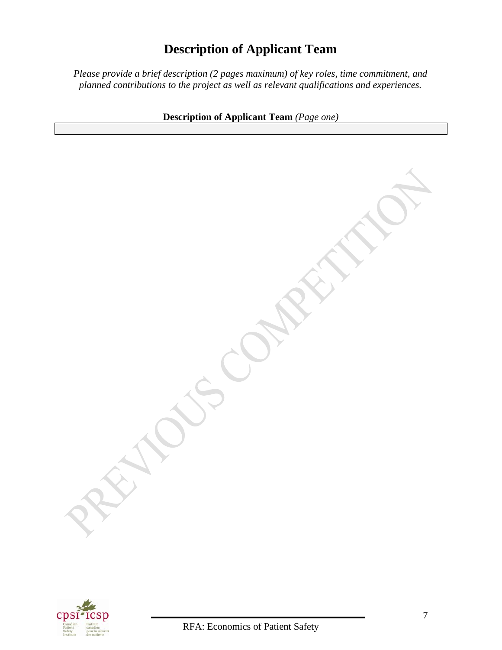# **Description of Applicant Team**

*Please provide a brief description (2 pages maximum) of key roles, time commitment, and planned contributions to the project as well as relevant qualifications and experiences.* 

**Description of Applicant Team** *(Page one)*



RFA: Economics of Patient Safety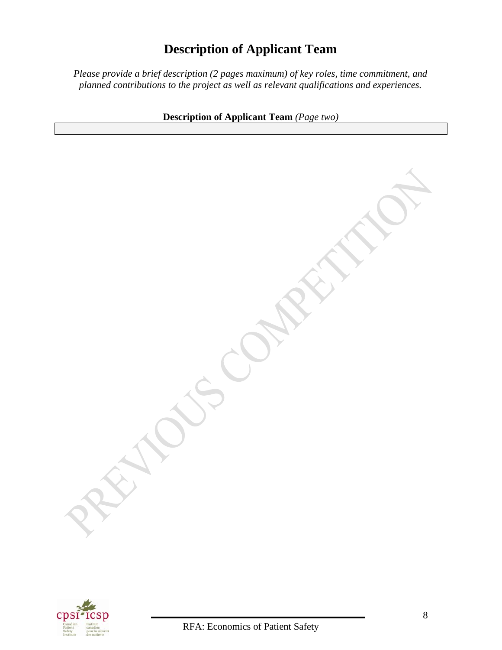# **Description of Applicant Team**

*Please provide a brief description (2 pages maximum) of key roles, time commitment, and planned contributions to the project as well as relevant qualifications and experiences.* 

**Description of Applicant Team** *(Page two)*



RFA: Economics of Patient Safety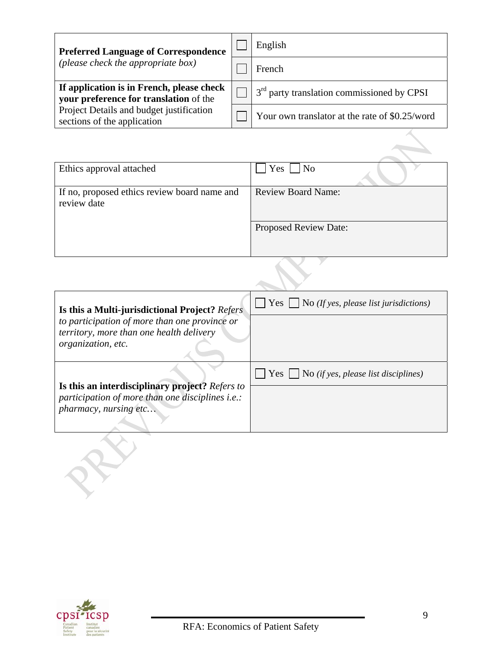| <b>Preferred Language of Correspondence</b><br>(please check the appropriate box)   | English                                        |
|-------------------------------------------------------------------------------------|------------------------------------------------|
|                                                                                     | French                                         |
| If application is in French, please check<br>your preference for translation of the | $3rd$ party translation commissioned by CPSI   |
| Project Details and budget justification<br>sections of the application             | Your own translator at the rate of \$0.25/word |

| Ethics approval attached                                    | Yes<br>$ $ No             |
|-------------------------------------------------------------|---------------------------|
|                                                             |                           |
| If no, proposed ethics review board name and<br>review date | <b>Review Board Name:</b> |
|                                                             | Proposed Review Date:     |
|                                                             |                           |

| Is this a Multi-jurisdictional Project? Refers                 | $\Box$ Yes $\Box$ No (If yes, please list jurisdictions) |
|----------------------------------------------------------------|----------------------------------------------------------|
| to participation of more than one province or                  |                                                          |
| territory, more than one health delivery<br>organization, etc. |                                                          |
|                                                                | $\Box$ Yes $\Box$ No (if yes, please list disciplines)   |
| Is this an interdisciplinary project? Refers to                |                                                          |
| participation of more than one disciplines i.e.:               |                                                          |
| pharmacy, nursing etc                                          |                                                          |
|                                                                |                                                          |



<u>linn</u>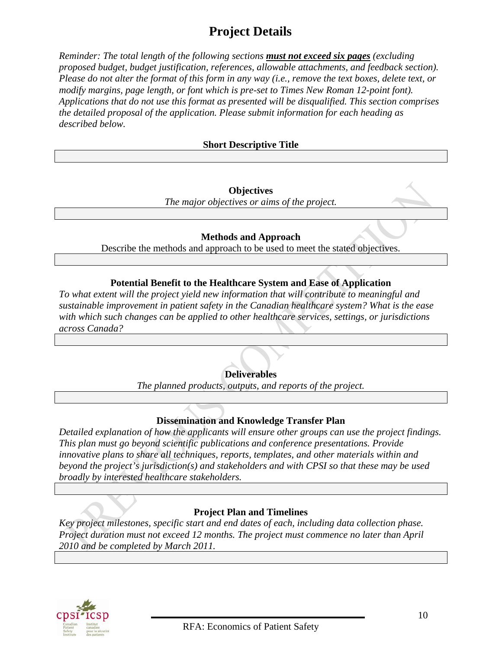# **Project Details**

*Reminder: The total length of the following sections must not exceed six pages (excluding proposed budget, budget justification, references, allowable attachments, and feedback section). Please do not alter the format of this form in any way (i.e., remove the text boxes, delete text, or modify margins, page length, or font which is pre-set to Times New Roman 12-point font). Applications that do not use this format as presented will be disqualified. This section comprises the detailed proposal of the application. Please submit information for each heading as described below.*

**Short Descriptive Title** 

**Objectives**  *The major objectives or aims of the project.*

#### **Methods and Approach**

Describe the methods and approach to be used to meet the stated objectives.

#### **Potential Benefit to the Healthcare System and Ease of Application**

*To what extent will the project yield new information that will contribute to meaningful and sustainable improvement in patient safety in the Canadian healthcare system? What is the ease with which such changes can be applied to other healthcare services, settings, or jurisdictions across Canada?*

#### **Deliverables**

*The planned products, outputs, and reports of the project.*

#### **Dissemination and Knowledge Transfer Plan**

*Detailed explanation of how the applicants will ensure other groups can use the project findings. This plan must go beyond scientific publications and conference presentations. Provide innovative plans to share all techniques, reports, templates, and other materials within and beyond the project's jurisdiction(s) and stakeholders and with CPSI so that these may be used broadly by interested healthcare stakeholders.* 

#### **Project Plan and Timelines**

*Key project milestones, specific start and end dates of each, including data collection phase. Project duration must not exceed 12 months. The project must commence no later than April 2010 and be completed by March 2011.*

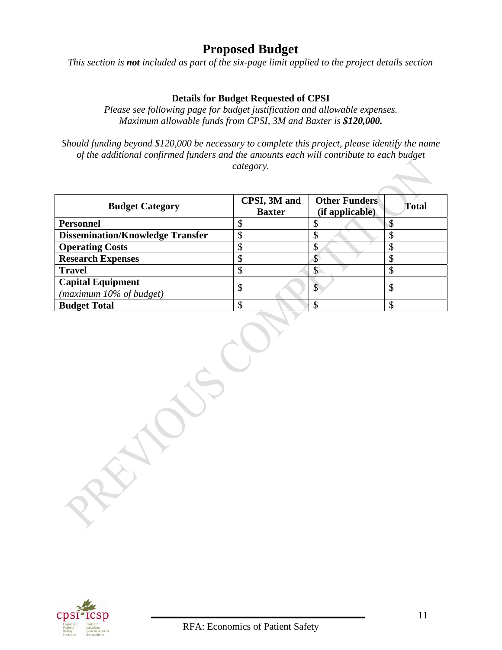### **Proposed Budget**

*This section is not included as part of the six-page limit applied to the project details section* 

#### **Details for Budget Requested of CPSI**

*Please see following page for budget justification and allowable expenses. Maximum allowable funds from CPSI, 3M and Baxter is \$120,000.* 

*Should funding beyond \$120,000 be necessary to complete this project, please identify the name of the additional confirmed funders and the amounts each will contribute to each budget category.* 

| <b>Budget Category</b>                              | CPSI, 3M and<br><b>Baxter</b> | <b>Other Funders</b><br>(if applicable) | <b>Total</b> |
|-----------------------------------------------------|-------------------------------|-----------------------------------------|--------------|
| <b>Personnel</b>                                    |                               |                                         |              |
| <b>Dissemination/Knowledge Transfer</b>             |                               |                                         |              |
| <b>Operating Costs</b>                              |                               | D                                       |              |
| <b>Research Expenses</b>                            |                               |                                         |              |
| <b>Travel</b>                                       |                               | \$                                      |              |
| <b>Capital Equipment</b><br>(maximum 10% of budget) | \$                            | \$                                      | \$           |
| <b>Budget Total</b>                                 |                               |                                         |              |

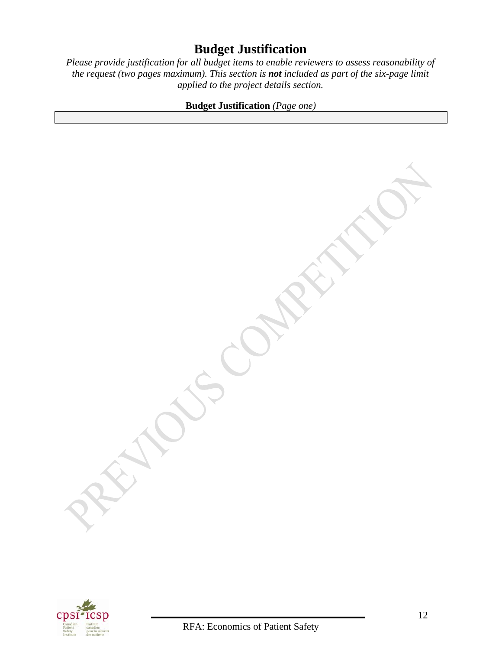### **Budget Justification**

*Please provide justification for all budget items to enable reviewers to assess reasonability of the request (two pages maximum). This section is not included as part of the six-page limit applied to the project details section.*

**Budget Justification** *(Page one)*

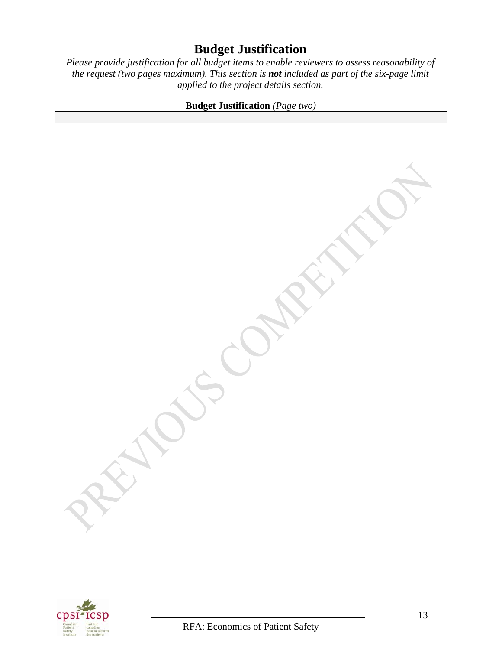### **Budget Justification**

*Please provide justification for all budget items to enable reviewers to assess reasonability of the request (two pages maximum). This section is not included as part of the six-page limit applied to the project details section.*

**Budget Justification** *(Page two)*

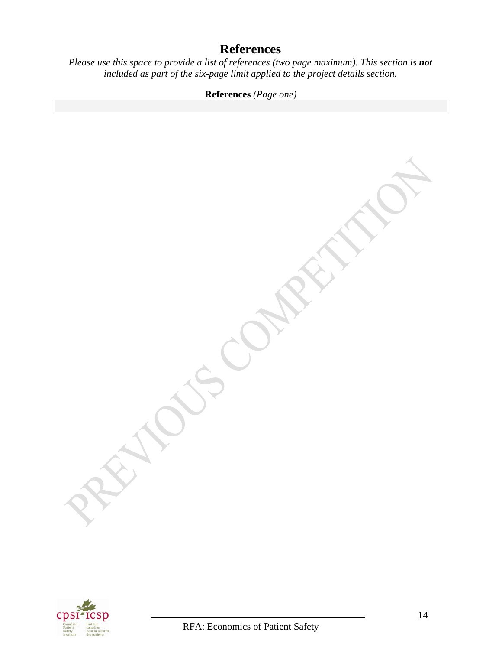### **References**

*Please use this space to provide a list of references (two page maximum). This section is not included as part of the six-page limit applied to the project details section.*

| References (Page one) |  |  |
|-----------------------|--|--|
|-----------------------|--|--|

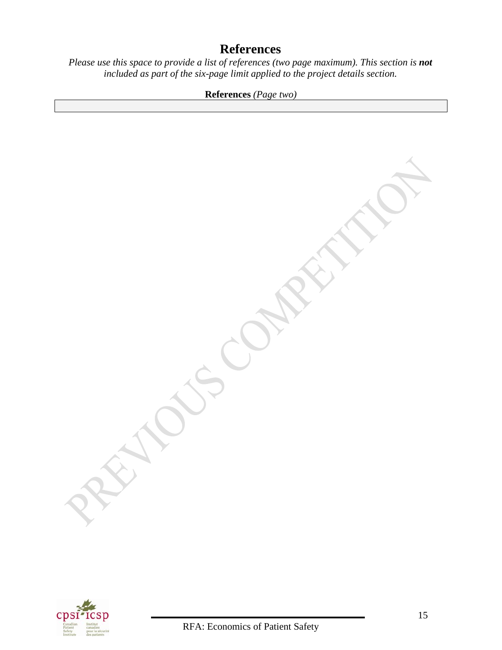### **References**

*Please use this space to provide a list of references (two page maximum). This section is not included as part of the six-page limit applied to the project details section.*

| References (Page two) |  |  |
|-----------------------|--|--|
|-----------------------|--|--|

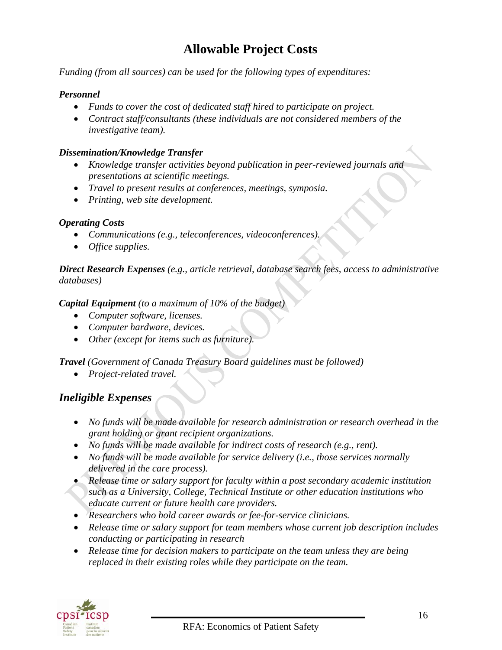# **Allowable Project Costs**

*Funding (from all sources) can be used for the following types of expenditures:* 

#### *Personnel*

- *Funds to cover the cost of dedicated staff hired to participate on project.*
- *Contract staff/consultants (these individuals are not considered members of the investigative team).*

#### *Dissemination/Knowledge Transfer*

- *Knowledge transfer activities beyond publication in peer-reviewed journals and presentations at scientific meetings.*
- *Travel to present results at conferences, meetings, symposia.*
- *Printing, web site development.*

#### *Operating Costs*

- *Communications (e.g., teleconferences, videoconferences).*
- *Office supplies.*

*Direct Research Expenses (e.g., article retrieval, database search fees, access to administrative databases)* 

#### *Capital Equipment (to a maximum of 10% of the budget)*

- *Computer software, licenses.*
- *Computer hardware, devices.*
- *Other (except for items such as furniture).*

#### *Travel (Government of Canada Treasury Board guidelines must be followed)*

• *Project-related travel.* 

### *Ineligible Expenses*

- *No funds will be made available for research administration or research overhead in the grant holding or grant recipient organizations.*
- *No funds will be made available for indirect costs of research (e.g., rent).*
- *No funds will be made available for service delivery (i.e., those services normally delivered in the care process).*
- *Release time or salary support for faculty within a post secondary academic institution such as a University, College, Technical Institute or other education institutions who educate current or future health care providers.*
- *Researchers who hold career awards or fee-for-service clinicians.*
- *Release time or salary support for team members whose current job description includes conducting or participating in research*
- *Release time for decision makers to participate on the team unless they are being replaced in their existing roles while they participate on the team.*